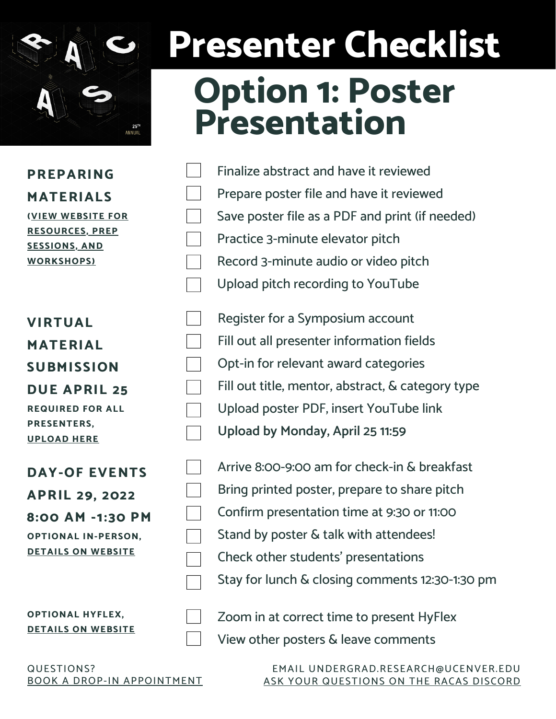

### **Presenter Checklist Option 1: Poster Presentation**

**PREPARING MATERIALS (VIEW [WEBSITE](https://www.ucdenver.edu/sites/research-day/presenters) FOR [RESOURCES,](https://www.ucdenver.edu/sites/research-day/presenters) PREP [SESSIONS,](https://www.ucdenver.edu/sites/research-day/presenters) AND [WORKSHOPS\)](https://www.ucdenver.edu/sites/research-day/presenters)**

| <b>VIRTUAL</b>          |
|-------------------------|
| <b>MATERIAL</b>         |
| <b>SUBMISSION</b>       |
| <b>DUE APRIL 25</b>     |
| <b>REQUIRED FOR ALL</b> |
| <b>PRESENTERS,</b>      |
| UPLOAD HERE             |
|                         |
| <b>DAY-OF EVENTS</b>    |

**APRIL 29, 2022 8:00 AM -1:30 PM OPTIONAL IN-PERSON, DETAILS ON [WEBSITE](https://www.ucdenver.edu/sites/research-day/event-details)**

| Finalize abstract and have it reviewed          |
|-------------------------------------------------|
| Prepare poster file and have it reviewed        |
| Save poster file as a PDF and print (if needed) |
| Practice 3-minute elevator pitch                |
| Record 3-minute audio or video pitch            |
| Upload pitch recording to YouTube               |

Register for a Symposium account Fill out all presenter information fields Opt-in for relevant award categories Fill out title, mentor, abstract, & category type Upload poster PDF, insert YouTube link **Upload by Monday, April 25 11:59**

| Arrive 8:00-9:00 am for check-in & breakfast    |
|-------------------------------------------------|
| Bring printed poster, prepare to share pitch    |
| Confirm presentation time at 9:30 or 11:00      |
| Stand by poster & talk with attendees!          |
| Check other students' presentations             |
| Stay for lunch & closing comments 12:30-1:30 pm |

**OPTIONAL HYFLEX, DETAILS ON [WEBSITE](https://www.ucdenver.edu/sites/research-day/event-details)** Zoom in at correct time to present HyFlex View other posters & leave comments

QUESTIONS? BOOK A DROP-IN [APPOINTMENT](https://ucdenver.joinhandshake.com/edu/appointments/new)

EMAIL UNDERGRAD.RESEARCH@UCENVER.EDU ASK YOUR [QUESTIONS](https://discord.gg/GnZXZc3JwH) ON THE RACAS DISCORD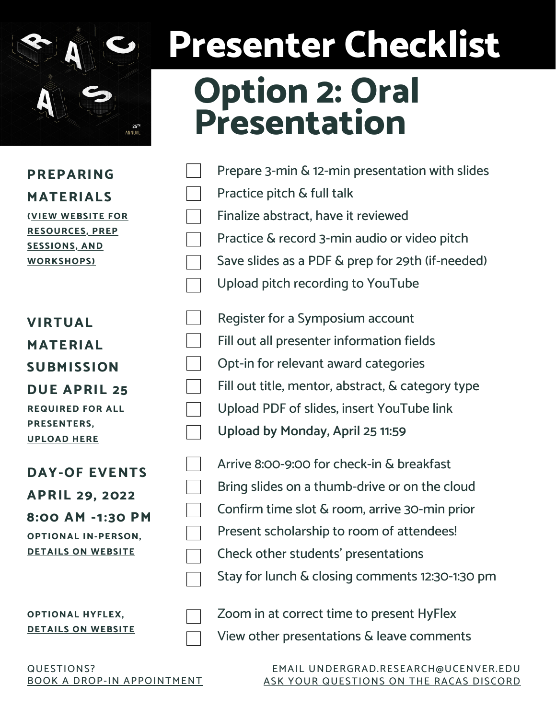

# **Presenter Checklist**

#### **Option 2: Oral Presentation**

| PREPARING                       |
|---------------------------------|
| <b>MATERIALS</b>                |
| <b><i>(VIEW WEBSITE FOR</i></b> |
| <b>RESOURCES, PREP</b>          |
| <b>SESSIONS, AND</b>            |
| <b>WORKSHOPS)</b>               |

| <b>VIRTUAL</b>          |
|-------------------------|
| <b>MATERIAL</b>         |
| <b>SUBMISSION</b>       |
| <b>DUE APRIL 25</b>     |
| <b>REQUIRED FOR ALL</b> |
| PRESENTERS,             |
| <b>UPLOAD HERE</b>      |
|                         |
| <b>DAY-OF EVENTS</b>    |
| <b>APRIL 29, 2022</b>   |
| 8:00 AM -1:30 PM        |

| AFRIL 49, 4UZZ             |
|----------------------------|
| 8:00 AM -1:30 PM           |
| <b>OPTIONAL IN-PERSON,</b> |
| <b>DETAILS ON WEBSITE</b>  |
|                            |

| Prepare 3-min & 12-min presentation with slides                               |
|-------------------------------------------------------------------------------|
| Practice pitch & full talk                                                    |
| Finalize abstract, have it reviewed                                           |
| Practice & record 3-min audio or video pitch                                  |
| Save slides as a PDF & prep for 29th (if-needed)                              |
| Upload pitch recording to YouTube                                             |
| Register for a Symposium account<br>Fill out all presenter information fields |
| Opt-in for relevant award categories                                          |
| Fill out title, mentor, abstract, & category type                             |
| Upload PDF of slides, insert YouTube link                                     |
| Upload by Monday, April 25 11:59                                              |
| Arrive 8:00-9:00 for check-in & breakfast                                     |

| Arrive 8:00-9:00 for check-in & breakfast       |
|-------------------------------------------------|
| Bring slides on a thumb-drive or on the cloud   |
| Confirm time slot & room, arrive 30-min prior   |
| Present scholarship to room of attendees!       |
| Check other students' presentations             |
| Stay for lunch & closing comments 12:30-1:30 pm |

**OPTIONAL HYFLEX, DETAILS ON [WEBSITE](https://www.ucdenver.edu/sites/research-day/event-details)** Zoom in at correct time to present HyFlex View other presentations & leave comments

QUESTIONS? BOOK A DROP-IN [APPOINTMENT](https://ucdenver.joinhandshake.com/edu/appointments/new)

EMAIL UNDERGRAD.RESEARCH@UCENVER.EDU ASK YOUR [QUESTIONS](https://discord.gg/GnZXZc3JwH) ON THE RACAS DISCORD